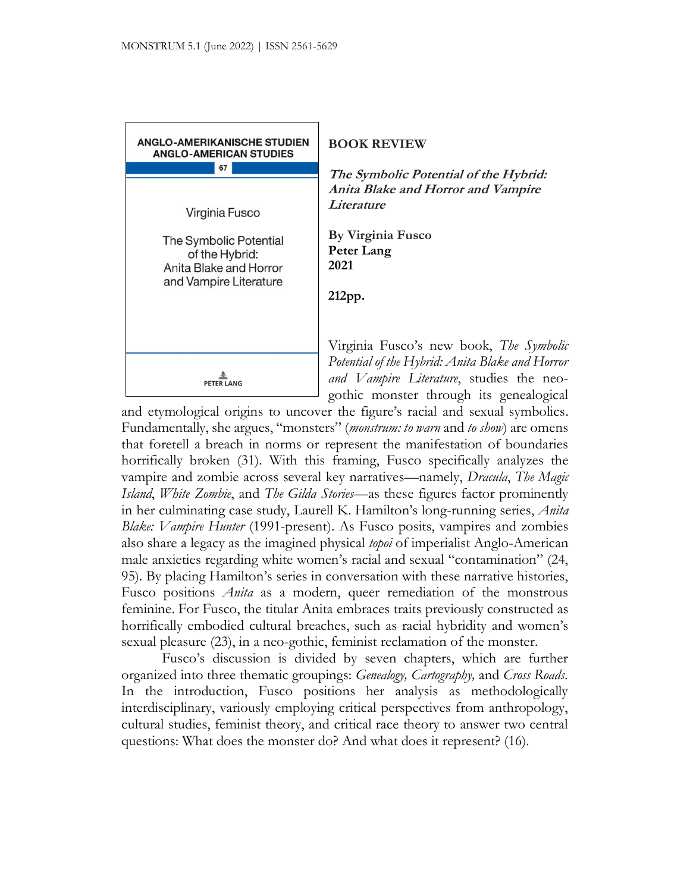

and etymological origins to uncover the figure's racial and sexual symbolics. Fundamentally, she argues, "monsters" (*monstrum: to warn* and *to show*) are omens that foretell a breach in norms or represent the manifestation of boundaries horrifically broken (31). With this framing, Fusco specifically analyzes the vampire and zombie across several key narratives—namely, *Dracula*, *The Magic Island*, *White Zombie*, and *The Gilda Stories*—as these figures factor prominently in her culminating case study, Laurell K. Hamilton's long-running series, *Anita Blake: Vampire Hunter* (1991-present). As Fusco posits, vampires and zombies also share a legacy as the imagined physical *topoi* of imperialist Anglo-American male anxieties regarding white women's racial and sexual "contamination" (24, 95). By placing Hamilton's series in conversation with these narrative histories, Fusco positions *Anita* as a modern, queer remediation of the monstrous feminine. For Fusco, the titular Anita embraces traits previously constructed as horrifically embodied cultural breaches, such as racial hybridity and women's sexual pleasure (23), in a neo-gothic, feminist reclamation of the monster.

Fusco's discussion is divided by seven chapters, which are further organized into three thematic groupings: *Genealogy, Cartography,* and *Cross Roads.*  In the introduction, Fusco positions her analysis as methodologically interdisciplinary, variously employing critical perspectives from anthropology, cultural studies, feminist theory, and critical race theory to answer two central questions: What does the monster do? And what does it represent? (16).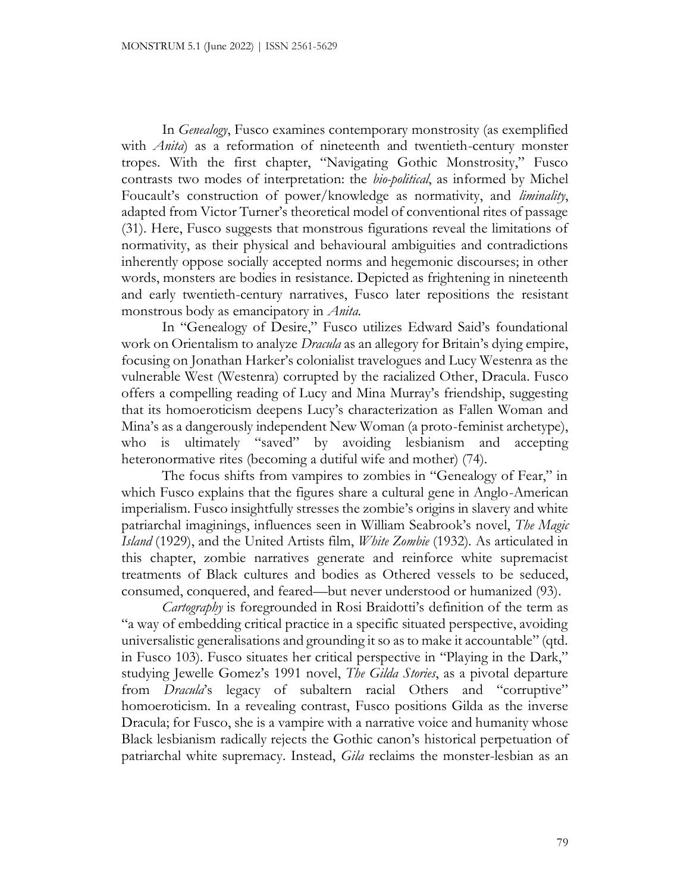In *Genealogy*, Fusco examines contemporary monstrosity (as exemplified with *Anita*) as a reformation of nineteenth and twentieth-century monster tropes. With the first chapter, "Navigating Gothic Monstrosity," Fusco contrasts two modes of interpretation: the *bio-political*, as informed by Michel Foucault's construction of power/knowledge as normativity, and *liminality*, adapted from Victor Turner's theoretical model of conventional rites of passage (31). Here, Fusco suggests that monstrous figurations reveal the limitations of normativity, as their physical and behavioural ambiguities and contradictions inherently oppose socially accepted norms and hegemonic discourses; in other words, monsters are bodies in resistance. Depicted as frightening in nineteenth and early twentieth-century narratives, Fusco later repositions the resistant monstrous body as emancipatory in *Anita.* 

In "Genealogy of Desire," Fusco utilizes Edward Said's foundational work on Orientalism to analyze *Dracula* as an allegory for Britain's dying empire, focusing on Jonathan Harker's colonialist travelogues and Lucy Westenra as the vulnerable West (Westenra) corrupted by the racialized Other, Dracula. Fusco offers a compelling reading of Lucy and Mina Murray's friendship, suggesting that its homoeroticism deepens Lucy's characterization as Fallen Woman and Mina's as a dangerously independent New Woman (a proto-feminist archetype), who is ultimately "saved" by avoiding lesbianism and accepting heteronormative rites (becoming a dutiful wife and mother) (74).

The focus shifts from vampires to zombies in "Genealogy of Fear," in which Fusco explains that the figures share a cultural gene in Anglo-American imperialism. Fusco insightfully stresses the zombie's origins in slavery and white patriarchal imaginings, influences seen in William Seabrook's novel, *The Magic Island* (1929), and the United Artists film, *White Zombie* (1932)*.* As articulated in this chapter, zombie narratives generate and reinforce white supremacist treatments of Black cultures and bodies as Othered vessels to be seduced, consumed, conquered, and feared—but never understood or humanized (93).

*Cartography* is foregrounded in Rosi Braidotti's definition of the term as "a way of embedding critical practice in a specific situated perspective, avoiding universalistic generalisations and grounding it so as to make it accountable" (qtd. in Fusco 103). Fusco situates her critical perspective in "Playing in the Dark," studying Jewelle Gomez's 1991 novel, *The Gilda Stories*, as a pivotal departure from *Dracula*'s legacy of subaltern racial Others and "corruptive" homoeroticism. In a revealing contrast, Fusco positions Gilda as the inverse Dracula; for Fusco, she is a vampire with a narrative voice and humanity whose Black lesbianism radically rejects the Gothic canon's historical perpetuation of patriarchal white supremacy. Instead, *Gila* reclaims the monster-lesbian as an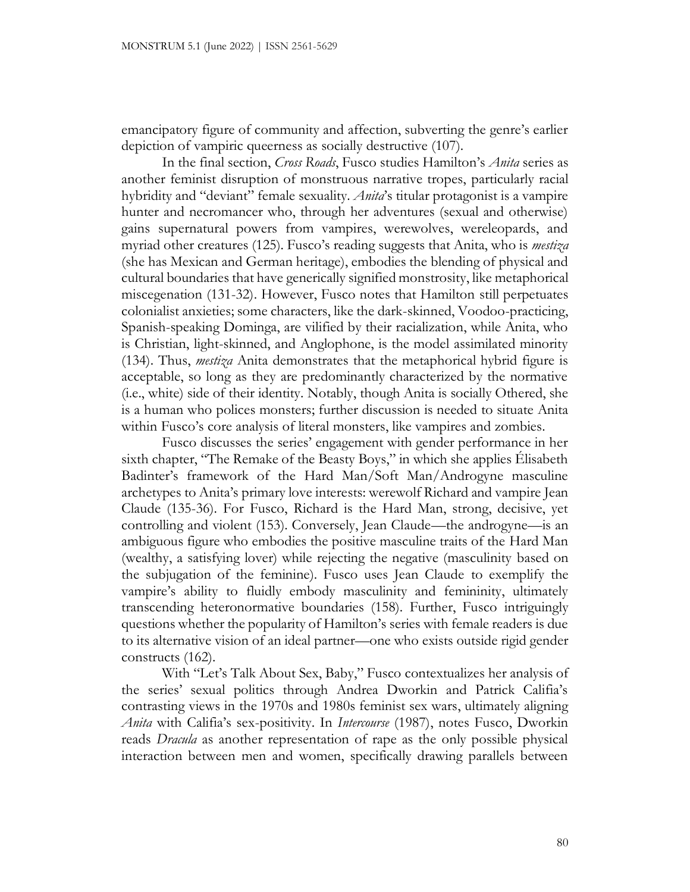emancipatory figure of community and affection, subverting the genre's earlier depiction of vampiric queerness as socially destructive (107).

In the final section, *Cross Roads*, Fusco studies Hamilton's *Anita* series as another feminist disruption of monstruous narrative tropes, particularly racial hybridity and "deviant" female sexuality. *Anita*'s titular protagonist is a vampire hunter and necromancer who, through her adventures (sexual and otherwise) gains supernatural powers from vampires, werewolves, wereleopards, and myriad other creatures (125). Fusco's reading suggests that Anita, who is *mestiza* (she has Mexican and German heritage), embodies the blending of physical and cultural boundaries that have generically signified monstrosity, like metaphorical miscegenation (131-32). However, Fusco notes that Hamilton still perpetuates colonialist anxieties; some characters, like the dark-skinned, Voodoo-practicing, Spanish-speaking Dominga, are vilified by their racialization, while Anita, who is Christian, light-skinned, and Anglophone, is the model assimilated minority (134). Thus, *mestiza* Anita demonstrates that the metaphorical hybrid figure is acceptable, so long as they are predominantly characterized by the normative (i.e., white) side of their identity. Notably, though Anita is socially Othered, she is a human who polices monsters; further discussion is needed to situate Anita within Fusco's core analysis of literal monsters, like vampires and zombies.

Fusco discusses the series' engagement with gender performance in her sixth chapter, "The Remake of the Beasty Boys," in which she applies Élisabeth Badinter's framework of the Hard Man/Soft Man/Androgyne masculine archetypes to Anita's primary love interests: werewolf Richard and vampire Jean Claude (135-36). For Fusco, Richard is the Hard Man, strong, decisive, yet controlling and violent (153). Conversely, Jean Claude—the androgyne—is an ambiguous figure who embodies the positive masculine traits of the Hard Man (wealthy, a satisfying lover) while rejecting the negative (masculinity based on the subjugation of the feminine). Fusco uses Jean Claude to exemplify the vampire's ability to fluidly embody masculinity and femininity, ultimately transcending heteronormative boundaries (158). Further, Fusco intriguingly questions whether the popularity of Hamilton's series with female readers is due to its alternative vision of an ideal partner—one who exists outside rigid gender constructs (162).

With "Let's Talk About Sex, Baby," Fusco contextualizes her analysis of the series' sexual politics through Andrea Dworkin and Patrick Califia's contrasting views in the 1970s and 1980s feminist sex wars, ultimately aligning *Anita* with Califia's sex-positivity. In *Intercourse* (1987), notes Fusco, Dworkin reads *Dracula* as another representation of rape as the only possible physical interaction between men and women, specifically drawing parallels between